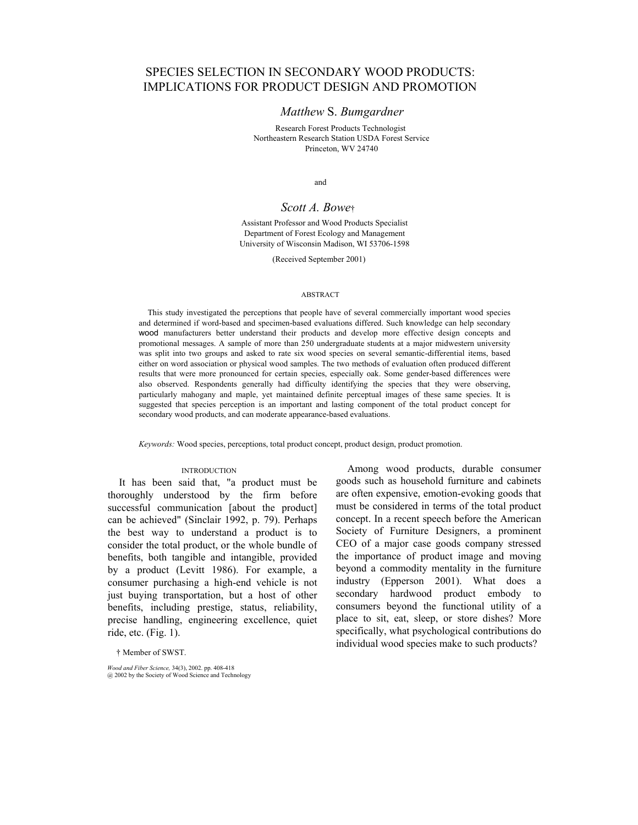# SPECIES SELECTION IN SECONDARY WOOD PRODUCTS: IMPLICATIONS FOR PRODUCT DESIGN AND PROMOTION

## *Matthew* S. *Bumgardner*

Research Forest Products Technologist Northeastern Research Station USDA Forest Service Princeton, WV 24740

and

### *Scott A. Bowe*†

Assistant Professor and Wood Products Specialist Department of Forest Ecology and Management University of Wisconsin Madison, WI 53706-1598

(Received September 2001)

#### ABSTRACT

This study investigated the perceptions that people have of several commercially important wood species and determined if word-based and specimen-based evaluations differed. Such knowledge can help secondary wood manufacturers better understand their products and develop more effective design concepts and promotional messages. A sample of more than 250 undergraduate students at a major midwestern university was split into two groups and asked to rate six wood species on several semantic-differential items, based either on word association or physical wood samples. The two methods of evaluation often produced different results that were more pronounced for certain species, especially oak. Some gender-based differences were also observed. Respondents generally had difficulty identifying the species that they were observing, particularly mahogany and maple, yet maintained definite perceptual images of these same species. It is suggested that species perception is an important and lasting component of the total product concept for secondary wood products, and can moderate appearance-based evaluations.

*Keywords:* Wood species, perceptions, total product concept, product design, product promotion.

#### **INTRODUCTION**

It has been said that, "a product must be thoroughly understood by the firm before successful communication [about the product] can be achieved" (Sinclair 1992, p. 79). Perhaps the best way to understand a product is to consider the total product, or the whole bundle of benefits, both tangible and intangible, provided by a product (Levitt 1986). For example, a consumer purchasing a high-end vehicle is not just buying transportation, but a host of other benefits, including prestige, status, reliability, precise handling, engineering excellence, quiet ride, etc. (Fig. 1).

goods such as household furniture and cabinets are often expensive, emotion-evoking goods that must be considered in terms of the total product concept. In a recent speech before the American Society of Furniture Designers, a prominent CEO of a major case goods company stressed the importance of product image and moving beyond a commodity mentality in the furniture industry (Epperson 2001). What does a secondary hardwood product embody to consumers beyond the functional utility of a place to sit, eat, sleep, or store dishes? More specifically, what psychological contributions do individual wood species make to such products?

Among wood products, durable consumer

† Member of SWST.

*Wood and Fiber Science,* 34(3), 2002. pp. 408-418 @ 2002 by the Society of Wood Science and Technology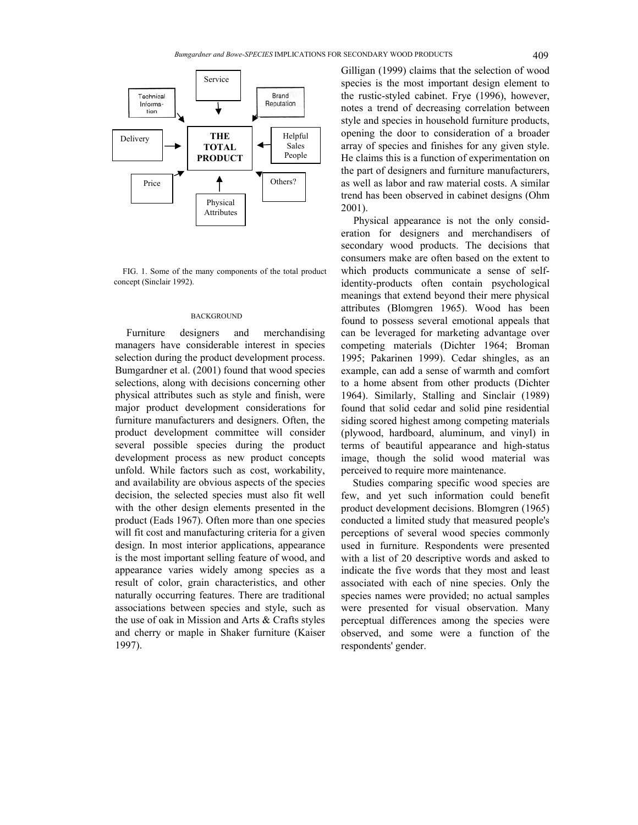

FIG. 1. Some of the many components of the total product concept (Sinclair 1992).

#### **BACKGROUND**

Furniture designers and merchandising managers have considerable interest in species selection during the product development process. Bumgardner et al. (2001) found that wood species selections, along with decisions concerning other physical attributes such as style and finish, were major product development considerations for furniture manufacturers and designers. Often, the product development committee will consider several possible species during the product development process as new product concepts unfold. While factors such as cost, workability, and availability are obvious aspects of the species decision, the selected species must also fit well with the other design elements presented in the product (Eads 1967). Often more than one species will fit cost and manufacturing criteria for a given design. In most interior applications, appearance is the most important selling feature of wood, and appearance varies widely among species as a result of color, grain characteristics, and other naturally occurring features. There are traditional associations between species and style, such as the use of oak in Mission and Arts & Crafts styles and cherry or maple in Shaker furniture (Kaiser 1997).

Gilligan (1999) claims that the selection of wood species is the most important design element to the rustic-styled cabinet. Frye (1996), however, notes a trend of decreasing correlation between style and species in household furniture products, opening the door to consideration of a broader array of species and finishes for any given style. He claims this is a function of experimentation on the part of designers and furniture manufacturers, as well as labor and raw material costs. A similar trend has been observed in cabinet designs (Ohm 2001).

Physical appearance is not the only consideration for designers and merchandisers of secondary wood products. The decisions that consumers make are often based on the extent to which products communicate a sense of selfidentity-products often contain psychological meanings that extend beyond their mere physical attributes (Blomgren 1965). Wood has been found to possess several emotional appeals that can be leveraged for marketing advantage over competing materials (Dichter 1964; Broman 1995; Pakarinen 1999). Cedar shingles, as an example, can add a sense of warmth and comfort to a home absent from other products (Dichter 1964). Similarly, Stalling and Sinclair (1989) found that solid cedar and solid pine residential siding scored highest among competing materials (plywood, hardboard, aluminum, and vinyl) in terms of beautiful appearance and high-status image, though the solid wood material was perceived to require more maintenance.

Studies comparing specific wood species are few, and yet such information could benefit product development decisions. Blomgren (1965) conducted a limited study that measured people's perceptions of several wood species commonly used in furniture. Respondents were presented with a list of 20 descriptive words and asked to indicate the five words that they most and least associated with each of nine species. Only the species names were provided; no actual samples were presented for visual observation. Many perceptual differences among the species were observed, and some were a function of the respondents' gender.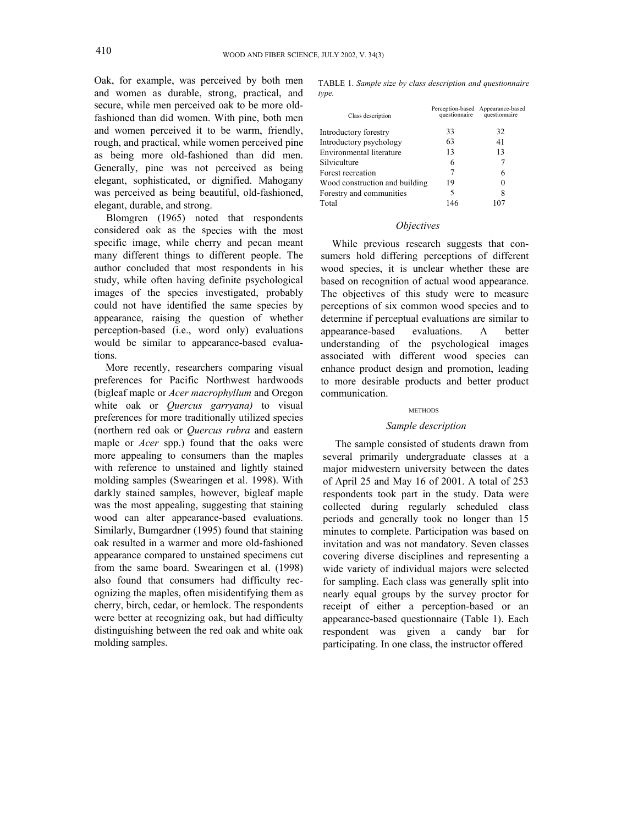Oak, for example, was perceived by both men and women as durable, strong, practical, and secure, while men perceived oak to be more oldfashioned than did women. With pine, both men and women perceived it to be warm, friendly, rough, and practical, while women perceived pine as being more old-fashioned than did men. Generally, pine was not perceived as being elegant, sophisticated, or dignified. Mahogany was perceived as being beautiful, old-fashioned, elegant, durable, and strong.

Blomgren (1965) noted that respondents considered oak as the species with the most specific image, while cherry and pecan meant many different things to different people. The author concluded that most respondents in his study, while often having definite psychological images of the species investigated, probably could not have identified the same species by appearance, raising the question of whether perception-based (i.e., word only) evaluations would be similar to appearance-based evaluations.

More recently, researchers comparing visual preferences for Pacific Northwest hardwoods (bigleaf maple or *Acer macrophyllum* and Oregon white oak or *Quercus garryana)* to visual preferences for more traditionally utilized species (northern red oak or *Quercus rubra* and eastern maple or *Acer* spp.) found that the oaks were more appealing to consumers than the maples with reference to unstained and lightly stained molding samples (Swearingen et al. 1998). With darkly stained samples, however, bigleaf maple was the most appealing, suggesting that staining wood can alter appearance-based evaluations. Similarly, Bumgardner (1995) found that staining oak resulted in a warmer and more old-fashioned appearance compared to unstained specimens cut from the same board. Swearingen et al. (1998) also found that consumers had difficulty recognizing the maples, often misidentifying them as cherry, birch, cedar, or hemlock. The respondents were better at recognizing oak, but had difficulty distinguishing between the red oak and white oak molding samples.

TABLE 1. *Sample size by class description and questionnaire type.* 

| Class description              |     | Perception-based Appearance-based<br>questionnaire questionnaire |
|--------------------------------|-----|------------------------------------------------------------------|
| Introductory forestry          | 33  | 32                                                               |
| Introductory psychology        | 63  | 41                                                               |
| Environmental literature       | 13  | 13                                                               |
| Silviculture                   | 6   |                                                                  |
| Forest recreation              | 7   | 6                                                                |
| Wood construction and building | 19  | 0                                                                |
| Forestry and communities       | 5   | 8                                                                |
| Total                          | 146 |                                                                  |

### *Objectives*

While previous research suggests that consumers hold differing perceptions of different wood species, it is unclear whether these are based on recognition of actual wood appearance. The objectives of this study were to measure perceptions of six common wood species and to determine if perceptual evaluations are similar to appearance-based evaluations. A better understanding of the psychological images associated with different wood species can enhance product design and promotion, leading to more desirable products and better product communication.

#### **METHODS**

### *Sample description*

The sample consisted of students drawn from several primarily undergraduate classes at a major midwestern university between the dates of April 25 and May 16 of 2001. A total of 253 respondents took part in the study. Data were collected during regularly scheduled class periods and generally took no longer than 15 minutes to complete. Participation was based on invitation and was not mandatory. Seven classes covering diverse disciplines and representing a wide variety of individual majors were selected for sampling. Each class was generally split into nearly equal groups by the survey proctor for receipt of either a perception-based or an appearance-based questionnaire (Table 1). Each respondent was given a candy bar for participating. In one class, the instructor offered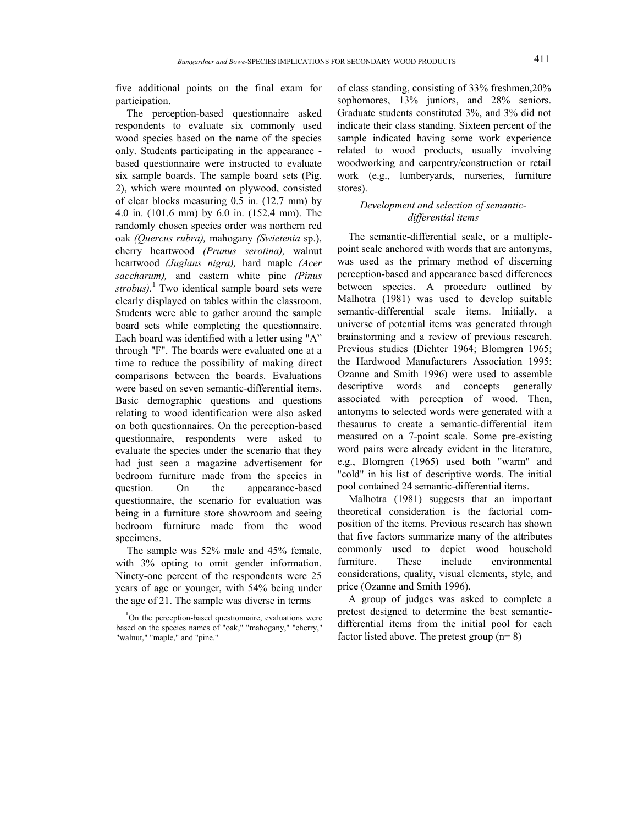five additional points on the final exam for participation.

The perception-based questionnaire asked respondents to evaluate six commonly used wood species based on the name of the species only. Students participating in the appearance based questionnaire were instructed to evaluate six sample boards. The sample board sets (Pig. 2), which were mounted on plywood, consisted of clear blocks measuring 0.5 in. (12.7 mm) by 4.0 in. (101.6 mm) by 6.0 in. (152.4 mm). The randomly chosen species order was northern red oak *(Quercus rubra),* mahogany *(Swietenia* sp.), cherry heartwood *(Prunus serotina),* walnut heartwood *(Juglans nigra),* hard maple *(Acer saccharum),* and eastern white pine *(Pinus strobus).* <sup>1</sup> Two identical sample board sets were clearly displayed on tables within the classroom. Students were able to gather around the sample board sets while completing the questionnaire. Each board was identified with a letter using "A" through "F". The boards were evaluated one at a time to reduce the possibility of making direct comparisons between the boards. Evaluations were based on seven semantic-differential items. Basic demographic questions and questions relating to wood identification were also asked on both questionnaires. On the perception-based questionnaire, respondents were asked to evaluate the species under the scenario that they had just seen a magazine advertisement for bedroom furniture made from the species in question. On the appearance-based questionnaire, the scenario for evaluation was being in a furniture store showroom and seeing bedroom furniture made from the wood specimens.

The sample was 52% male and 45% female, with  $3\%$  opting to omit gender information. Ninety-one percent of the respondents were 25 years of age or younger, with 54% being under the age of 21. The sample was diverse in terms

of class standing, consisting of 33% freshmen,20% sophomores, 13% juniors, and 28% seniors. Graduate students constituted 3%, and 3% did not indicate their class standing. Sixteen percent of the sample indicated having some work experience related to wood products, usually involving woodworking and carpentry/construction or retail work (e.g., lumberyards, nurseries, furniture stores).

## *Development and selection of semanticdifferential items*

The semantic-differential scale, or a multiplepoint scale anchored with words that are antonyms, was used as the primary method of discerning perception-based and appearance based differences between species. A procedure outlined by Malhotra (1981) was used to develop suitable semantic-differential scale items. Initially, a universe of potential items was generated through brainstorming and a review of previous research. Previous studies (Dichter 1964; Blomgren 1965; the Hardwood Manufacturers Association 1995; Ozanne and Smith 1996) were used to assemble descriptive words and concepts generally associated with perception of wood. Then, antonyms to selected words were generated with a thesaurus to create a semantic-differential item measured on a 7-point scale. Some pre-existing word pairs were already evident in the literature, e.g., Blomgren (1965) used both "warm" and "cold" in his list of descriptive words. The initial pool contained 24 semantic-differential items.

Malhotra (1981) suggests that an important theoretical consideration is the factorial composition of the items. Previous research has shown that five factors summarize many of the attributes commonly used to depict wood household furniture. These include environmental considerations, quality, visual elements, style, and price (Ozanne and Smith 1996).

A group of judges was asked to complete a pretest designed to determine the best semanticdifferential items from the initial pool for each factor listed above. The pretest group (n= 8)

<sup>&</sup>lt;sup>1</sup>On the perception-based questionnaire, evaluations were based on the species names of "oak," "mahogany," "cherry," "walnut," "maple," and "pine."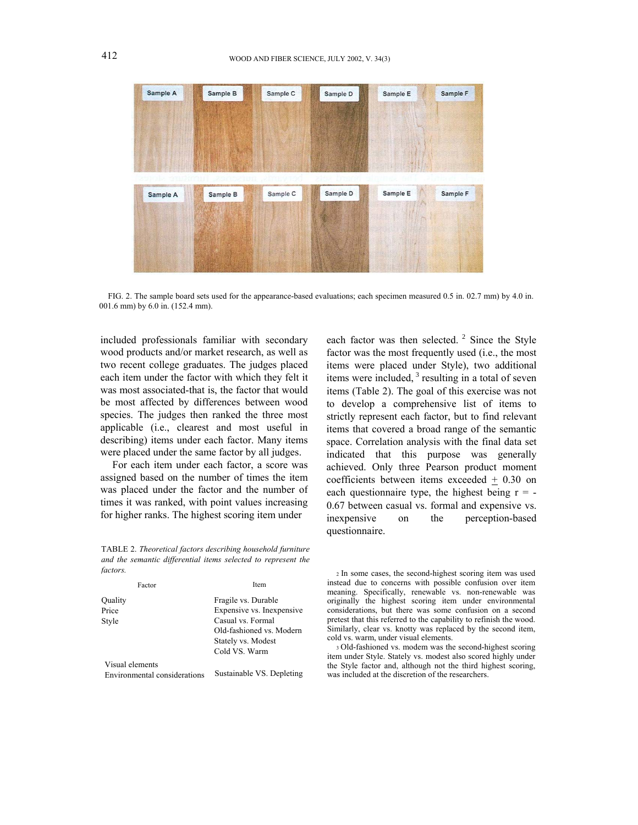

FIG. 2. The sample board sets used for the appearance-based evaluations; each specimen measured 0.5 in. 02.7 mm) by 4.0 in. 001.6 mm) by 6.0 in. (152.4 mm).

included professionals familiar with secondary wood products and/or market research, as well as two recent college graduates. The judges placed each item under the factor with which they felt it was most associated-that is, the factor that would be most affected by differences between wood species. The judges then ranked the three most applicable (i.e., clearest and most useful in describing) items under each factor. Many items were placed under the same factor by all judges.

For each item under each factor, a score was assigned based on the number of times the item was placed under the factor and the number of times it was ranked, with point values increasing for higher ranks. The highest scoring item under

TABLE 2. *Theoretical factors describing household furniture and the semantic differential items selected to represent the factors.* 2 In some cases, the second-highest scoring item was used

| Factor                       | Item                      |  |  |
|------------------------------|---------------------------|--|--|
| Ouality                      | Fragile vs. Durable       |  |  |
| Price                        | Expensive vs. Inexpensive |  |  |
| Style                        | Casual vs. Formal         |  |  |
|                              | Old-fashioned vs. Modern  |  |  |
|                              | Stately vs. Modest        |  |  |
|                              | Cold VS. Warm             |  |  |
| Visual elements              |                           |  |  |
| Environmental considerations | Sustainable VS. Depleting |  |  |

each factor was then selected.  $2$  Since the Style factor was the most frequently used (i.e., the most items were placed under Style), two additional items were included, <sup>3</sup> resulting in a total of seven items (Table 2). The goal of this exercise was not to develop a comprehensive list of items to strictly represent each factor, but to find relevant items that covered a broad range of the semantic space. Correlation analysis with the final data set indicated that this purpose was generally achieved. Only three Pearson product moment coefficients between items exceeded + 0.30 on each questionnaire type, the highest being  $r = -$ 0.67 between casual vs. formal and expensive vs. inexpensive on the perception-based questionnaire.

instead due to concerns with possible confusion over item meaning. Specifically, renewable vs. non-renewable was originally the highest scoring item under environmental considerations, but there was some confusion on a second pretest that this referred to the capability to refinish the wood. Similarly, clear vs. knotty was replaced by the second item, cold vs. warm, under visual elements.

3 Old-fashioned vs. modem was the second-highest scoring item under Style. Stately vs. modest also scored highly under the Style factor and, although not the third highest scoring, was included at the discretion of the researchers.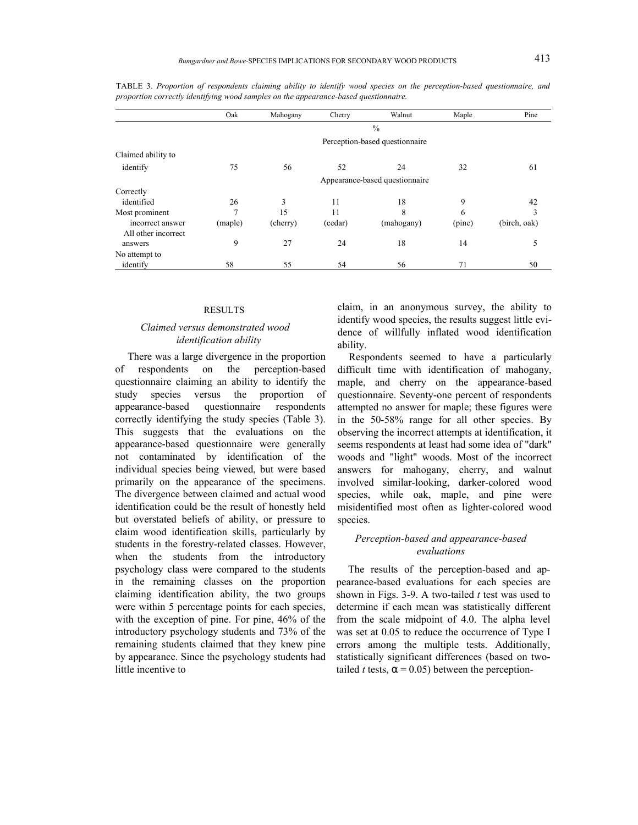|                                         | Oak                            | Mahogany | Cherry  | Walnut                         | Maple  | Pine         |  |
|-----------------------------------------|--------------------------------|----------|---------|--------------------------------|--------|--------------|--|
|                                         | $\frac{0}{0}$                  |          |         |                                |        |              |  |
|                                         | Perception-based questionnaire |          |         |                                |        |              |  |
| Claimed ability to                      |                                |          |         |                                |        |              |  |
| identify                                | 75                             | 56       | 52      | 24                             | 32     | 61           |  |
|                                         |                                |          |         | Appearance-based questionnaire |        |              |  |
| Correctly                               |                                |          |         |                                |        |              |  |
| identified                              | 26                             | 3        | 11      | 18                             | 9      | 42           |  |
| Most prominent                          | $\mathcal{I}$                  | 15       | 11      | 8                              | 6      | 3            |  |
| incorrect answer<br>All other incorrect | (maple)                        | (cherry) | (cedar) | (mahogany)                     | (pine) | (birch, oak) |  |
| answers                                 | 9                              | 27       | 24      | 18                             | 14     |              |  |
| No attempt to                           |                                |          |         |                                |        |              |  |
| identify                                | 58                             | 55       | 54      | 56                             | 71     | 50           |  |

TABLE 3. *Proportion of respondents claiming ability to identify wood species on the perception-based questionnaire, and proportion correctly identifying wood samples on the appearance-based questionnaire.* 

#### RESULTS

## *Claimed versus demonstrated wood identification ability*

There was a large divergence in the proportion of respondents on the perception-based questionnaire claiming an ability to identify the study species versus the proportion of appearance-based questionnaire respondents correctly identifying the study species (Table 3). This suggests that the evaluations on the appearance-based questionnaire were generally not contaminated by identification of the individual species being viewed, but were based primarily on the appearance of the specimens. The divergence between claimed and actual wood identification could be the result of honestly held but overstated beliefs of ability, or pressure to claim wood identification skills, particularly by students in the forestry-related classes. However, when the students from the introductory psychology class were compared to the students in the remaining classes on the proportion claiming identification ability, the two groups were within 5 percentage points for each species, with the exception of pine. For pine, 46% of the introductory psychology students and 73% of the remaining students claimed that they knew pine by appearance. Since the psychology students had little incentive to

claim, in an anonymous survey, the ability to identify wood species, the results suggest little evidence of willfully inflated wood identification ability.

Respondents seemed to have a particularly difficult time with identification of mahogany, maple, and cherry on the appearance-based questionnaire. Seventy-one percent of respondents attempted no answer for maple; these figures were in the 50-58% range for all other species. By observing the incorrect attempts at identification, it seems respondents at least had some idea of "dark" woods and "light" woods. Most of the incorrect answers for mahogany, cherry, and walnut involved similar-looking, darker-colored wood species, while oak, maple, and pine were misidentified most often as lighter-colored wood species.

### *Perception-based and appearance-based evaluations*

The results of the perception-based and appearance-based evaluations for each species are shown in Figs. 3-9. A two-tailed *t* test was used to determine if each mean was statistically different from the scale midpoint of 4.0. The alpha level was set at 0.05 to reduce the occurrence of Type I errors among the multiple tests. Additionally, statistically significant differences (based on twotailed *t* tests,  $\alpha$  = 0.05) between the perception-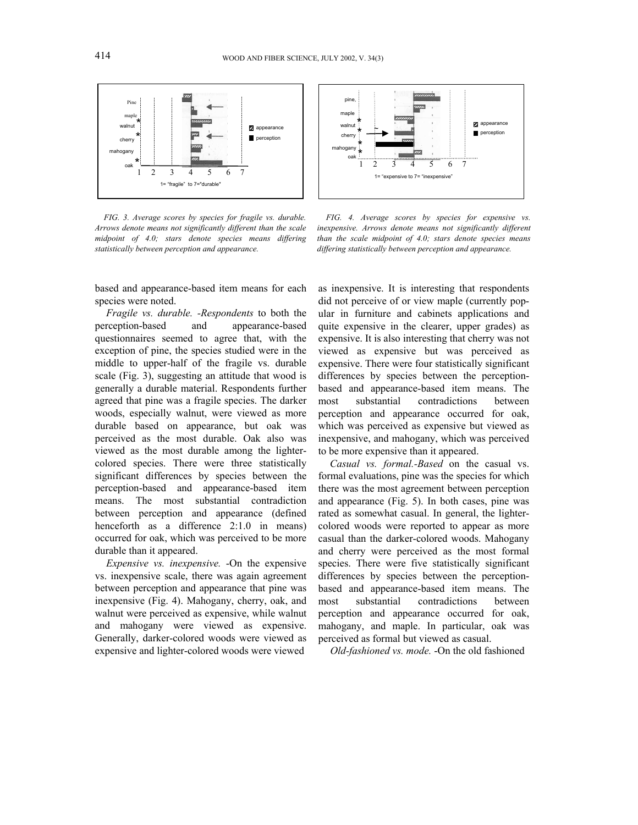

*FIG. 3. Average scores by species for fragile vs. durable. Arrows denote means not significantly different than the scale midpoint of 4.0; stars denote species means differing statistically between perception and appearance.*

based and appearance-based item means for each species were noted.

*Fragile vs. durable. -Respondents* to both the perception-based and appearance-based questionnaires seemed to agree that, with the exception of pine, the species studied were in the middle to upper-half of the fragile vs. durable scale (Fig. 3), suggesting an attitude that wood is generally a durable material. Respondents further agreed that pine was a fragile species. The darker woods, especially walnut, were viewed as more durable based on appearance, but oak was perceived as the most durable. Oak also was viewed as the most durable among the lightercolored species. There were three statistically significant differences by species between the perception-based and appearance-based item means. The most substantial contradiction between perception and appearance (defined henceforth as a difference 2:1.0 in means) occurred for oak, which was perceived to be more durable than it appeared.

*Expensive vs. inexpensive.* -On the expensive vs. inexpensive scale, there was again agreement between perception and appearance that pine was inexpensive (Fig. 4). Mahogany, cherry, oak, and walnut were perceived as expensive, while walnut and mahogany were viewed as expensive. Generally, darker-colored woods were viewed as expensive and lighter-colored woods were viewed



*FIG. 4. Average scores by species for expensive vs. inexpensive. Arrows denote means not significantly different than the scale midpoint of 4.0; stars denote species means differing statistically between perception and appearance.* 

as inexpensive. It is interesting that respondents did not perceive of or view maple (currently popular in furniture and cabinets applications and quite expensive in the clearer, upper grades) as expensive. It is also interesting that cherry was not viewed as expensive but was perceived as expensive. There were four statistically significant differences by species between the perceptionbased and appearance-based item means. The most substantial contradictions between perception and appearance occurred for oak, which was perceived as expensive but viewed as inexpensive, and mahogany, which was perceived to be more expensive than it appeared.

*Casual vs. formal.-Based* on the casual vs. formal evaluations, pine was the species for which there was the most agreement between perception and appearance (Fig. 5). In both cases, pine was rated as somewhat casual. In general, the lightercolored woods were reported to appear as more casual than the darker-colored woods. Mahogany and cherry were perceived as the most formal species. There were five statistically significant differences by species between the perceptionbased and appearance-based item means. The most substantial contradictions between perception and appearance occurred for oak, mahogany, and maple. In particular, oak was perceived as formal but viewed as casual.

*Old-fashioned vs. mode.* -On the old fashioned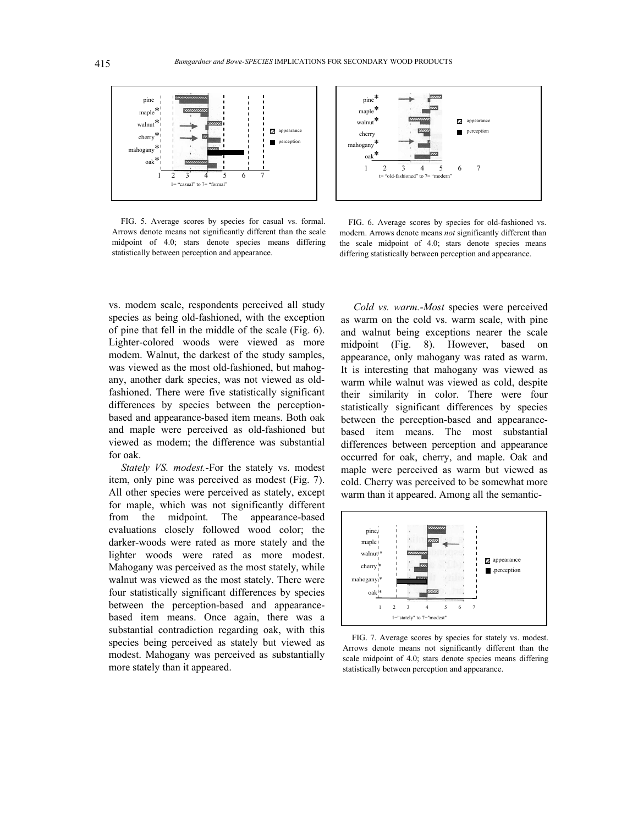

FIG. 5. Average scores by species for casual vs. formal. Arrows denote means not significantly different than the scale midpoint of 4.0; stars denote species means differing statistically between perception and appearance.



FIG. 6. Average scores by species for old-fashioned vs. modern. Arrows denote means *not* significantly different than the scale midpoint of 4.0; stars denote species means differing statistically between perception and appearance.

vs. modem scale, respondents perceived all study species as being old-fashioned, with the exception of pine that fell in the middle of the scale (Fig. 6). Lighter-colored woods were viewed as more modem. Walnut, the darkest of the study samples, was viewed as the most old-fashioned, but mahogany, another dark species, was not viewed as oldfashioned. There were five statistically significant differences by species between the perceptionbased and appearance-based item means. Both oak and maple were perceived as old-fashioned but viewed as modem; the difference was substantial for oak.

*Stately VS. modest.*-For the stately vs. modest item, only pine was perceived as modest (Fig. 7). All other species were perceived as stately, except for maple, which was not significantly different from the midpoint. The appearance-based evaluations closely followed wood color; the darker-woods were rated as more stately and the lighter woods were rated as more modest. Mahogany was perceived as the most stately, while walnut was viewed as the most stately. There were four statistically significant differences by species between the perception-based and appearancebased item means. Once again, there was a substantial contradiction regarding oak, with this species being perceived as stately but viewed as modest. Mahogany was perceived as substantially more stately than it appeared.

*Cold vs. warm.-Most* species were perceived as warm on the cold vs. warm scale, with pine and walnut being exceptions nearer the scale midpoint (Fig. 8). However, based on appearance, only mahogany was rated as warm. It is interesting that mahogany was viewed as warm while walnut was viewed as cold, despite their similarity in color. There were four statistically significant differences by species between the perception-based and appearancebased item means. The most substantial differences between perception and appearance occurred for oak, cherry, and maple. Oak and maple were perceived as warm but viewed as cold. Cherry was perceived to be somewhat more warm than it appeared. Among all the semantic-



FIG. 7. Average scores by species for stately vs. modest. Arrows denote means not significantly different than the scale midpoint of 4.0; stars denote species means differing statistically between perception and appearance.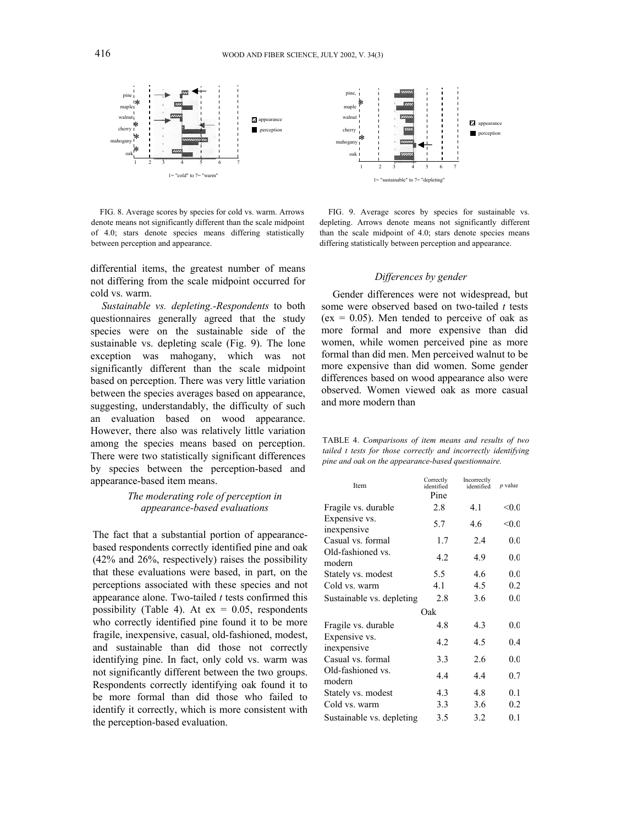

FIG. 8. Average scores by species for cold vs. warm. Arrows denote means not significantly different than the scale midpoint of 4.0; stars denote species means differing statistically between perception and appearance.

differential items, the greatest number of means not differing from the scale midpoint occurred for cold vs. warm.

*Sustainable vs. depleting.-Respondents* to both questionnaires generally agreed that the study species were on the sustainable side of the sustainable vs. depleting scale (Fig. 9). The lone exception was mahogany, which was not significantly different than the scale midpoint based on perception. There was very little variation between the species averages based on appearance, suggesting, understandably, the difficulty of such an evaluation based on wood appearance. However, there also was relatively little variation among the species means based on perception. There were two statistically significant differences by species between the perception-based and appearance-based item means.

## *The moderating role of perception in appearance-based evaluations*

The fact that a substantial portion of appearancebased respondents correctly identified pine and oak (42% and 26%, respectively) raises the possibility that these evaluations were based, in part, on the perceptions associated with these species and not appearance alone. Two-tailed *t* tests confirmed this possibility (Table 4). At  $ex = 0.05$ , respondents who correctly identified pine found it to be more fragile, inexpensive, casual, old-fashioned, modest, and sustainable than did those not correctly identifying pine. In fact, only cold vs. warm was not significantly different between the two groups. Respondents correctly identifying oak found it to be more formal than did those who failed to identify it correctly, which is more consistent with the perception-based evaluation.



FIG. 9. Average scores by species for sustainable vs. depleting. Arrows denote means not significantly different than the scale midpoint of 4.0; stars denote species means differing statistically between perception and appearance.

### *Differences by gender*

Gender differences were not widespread, but some were observed based on two-tailed *t* tests ( $ex = 0.05$ ). Men tended to perceive of oak as more formal and more expensive than did women, while women perceived pine as more formal than did men. Men perceived walnut to be more expensive than did women. Some gender differences based on wood appearance also were observed. Women viewed oak as more casual and more modern than

| TABLE 4. Comparisons of item means and results of two          |  |
|----------------------------------------------------------------|--|
| tailed t tests for those correctly and incorrectly identifying |  |
| pine and oak on the appearance-based questionnaire.            |  |

| Item                         | Correctly<br>identified<br>Pine | Incorrectly<br>identified | <i>p</i> value |  |  |
|------------------------------|---------------------------------|---------------------------|----------------|--|--|
| Fragile vs. durable          | 2.8                             | 41                        | < 0.0          |  |  |
| Expensive vs.<br>inexpensive | 5.7                             | 46                        | < 0.0          |  |  |
| Casual vs. formal            | 1.7                             | 2.4                       | 0.0            |  |  |
| Old-fashioned vs.<br>modern  | 4.2                             | 4.9                       | 0.0            |  |  |
| Stately vs. modest           | 5.5                             | 4.6                       | 0.0            |  |  |
| Cold vs. warm                | 4.1                             | 4.5                       | 0.2            |  |  |
| Sustainable vs. depleting    | 2.8                             | 3.6                       | 0.0            |  |  |
| Oak                          |                                 |                           |                |  |  |
| Fragile vs. durable          | 48                              | 4.3                       | 0.0            |  |  |
| Expensive vs.<br>inexpensive | 4.2                             | 4.5                       | 0.4            |  |  |
| Casual vs. formal            | 3.3                             | 2.6                       | 0.0            |  |  |
| Old-fashioned vs.<br>modern  | 4.4                             | 4.4                       | 0.7            |  |  |
| Stately vs. modest           | 4.3                             | 4.8                       | 0.1            |  |  |
| Cold vs. warm                | 3.3                             | 3.6                       | 0.2            |  |  |
| Sustainable vs. depleting    | 3.5                             | 3.2                       | 0.1            |  |  |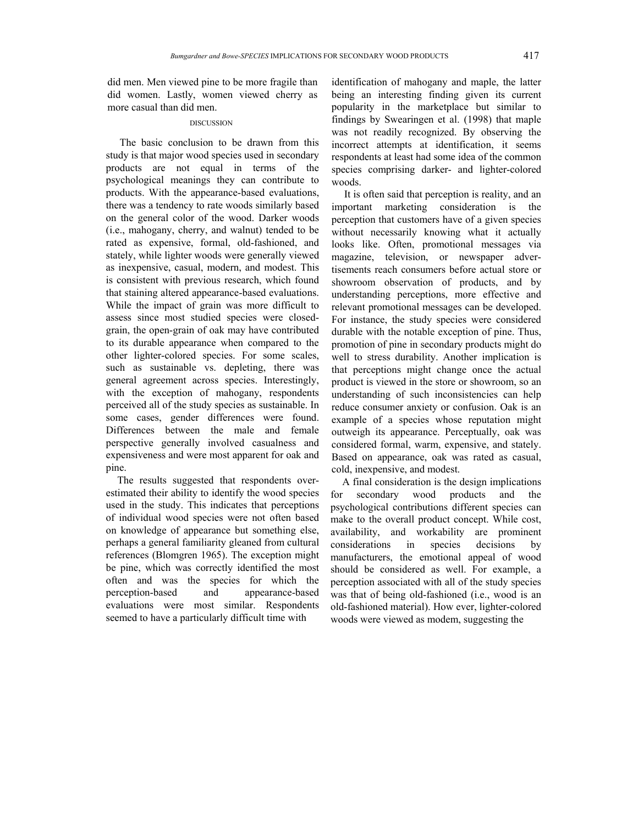did men. Men viewed pine to be more fragile than did women. Lastly, women viewed cherry as more casual than did men.

### DISCUSSION

The basic conclusion to be drawn from this study is that major wood species used in secondary products are not equal in terms of the psychological meanings they can contribute to products. With the appearance-based evaluations, there was a tendency to rate woods similarly based on the general color of the wood. Darker woods (i.e., mahogany, cherry, and walnut) tended to be rated as expensive, formal, old-fashioned, and stately, while lighter woods were generally viewed as inexpensive, casual, modern, and modest. This is consistent with previous research, which found that staining altered appearance-based evaluations. While the impact of grain was more difficult to assess since most studied species were closedgrain, the open-grain of oak may have contributed to its durable appearance when compared to the other lighter-colored species. For some scales, such as sustainable vs. depleting, there was general agreement across species. Interestingly, with the exception of mahogany, respondents perceived all of the study species as sustainable. In some cases, gender differences were found. Differences between the male and female perspective generally involved casualness and expensiveness and were most apparent for oak and pine.

The results suggested that respondents overestimated their ability to identify the wood species used in the study. This indicates that perceptions of individual wood species were not often based on knowledge of appearance but something else, perhaps a general familiarity gleaned from cultural references (Blomgren 1965). The exception might be pine, which was correctly identified the most often and was the species for which the perception-based and appearance-based evaluations were most similar. Respondents seemed to have a particularly difficult time with

identification of mahogany and maple, the latter being an interesting finding given its current popularity in the marketplace but similar to findings by Swearingen et al. (1998) that maple was not readily recognized. By observing the incorrect attempts at identification, it seems respondents at least had some idea of the common species comprising darker- and lighter-colored woods.

It is often said that perception is reality, and an important marketing consideration is the perception that customers have of a given species without necessarily knowing what it actually looks like. Often, promotional messages via magazine, television, or newspaper advertisements reach consumers before actual store or showroom observation of products, and by understanding perceptions, more effective and relevant promotional messages can be developed. For instance, the study species were considered durable with the notable exception of pine. Thus, promotion of pine in secondary products might do well to stress durability. Another implication is that perceptions might change once the actual product is viewed in the store or showroom, so an understanding of such inconsistencies can help reduce consumer anxiety or confusion. Oak is an example of a species whose reputation might outweigh its appearance. Perceptually, oak was considered formal, warm, expensive, and stately. Based on appearance, oak was rated as casual, cold, inexpensive, and modest.

A final consideration is the design implications for secondary wood products and the psychological contributions different species can make to the overall product concept. While cost, availability, and workability are prominent considerations in species decisions by manufacturers, the emotional appeal of wood should be considered as well. For example, a perception associated with all of the study species was that of being old-fashioned (i.e., wood is an old-fashioned material). How ever, lighter-colored woods were viewed as modem, suggesting the